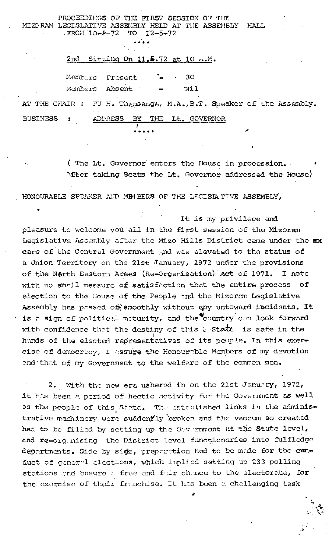PROCEEDINGS OF THE FIRST SESSION OF THE MIZORAM LEGISLATIVE ASSEMBLY HELD AT THE ASSEMBLY HALL FROM 10-8-72 ТO  $12 - 5 - 72$ 

## 2nd Sitting On 11.5.72 at 10 A.M.

 $30<sub>o</sub>$ Membors Present Absent Nil Members

PU H. Thansanga, M.A., B.T. Speaker of the Assembly. AT THE CHAIR : **BUSINESS** THE Lt. GOVERNOR  $\ddot{\phantom{a}}$ **ADDRESS** ΒY

> (The Lt. Governor enters the House in procession. After taking Seats the Lt. Governor addressed the House)

HONOURABLE SPEAKER AND MEMBERS OF THE LEGISIA TIVE ASSEMBLY,

It is my privilege and pleasure to welcome you all in the first session of the Mizoram Legislative Assembly after the Mizo Hills District came under the xx care of the Central Government and was elevated to the status of a Union Territory on the 21st January, 1972 under the provisions of the North Eastern Areas (Re-Organisation) Act of 1971. I note with no small measure of satisfaction that the entire process of election to the House of the People and the Mizoram Legislative Assembly has pessed of smoothly without any untoward incidents. It is a sign of political maturity, and the country can look forward with confidence that the destiny of this a state is safe in the hands of the elected representatives of its people. In this exercise of democracy, I assure the Honourable Members of my devotion and that of my Government to the welfare of the common men.

2. With the new era ushered in on the 21st January, 1972, it has been a period of hectic activity for the Government as well as the people of this State. The established links in the administrative machinery were suddently broken and the vaccum so created had to be filled by setting up the Government at the State level, and re-organising the District level functioneries into fulfledge departments. Side by side, preparation had to be made for the cunduct of general elections, which implied setting up 233 polling stations and ensure a free and fair chance to the electorate, for the exercise of their franchise. It has been a challenging task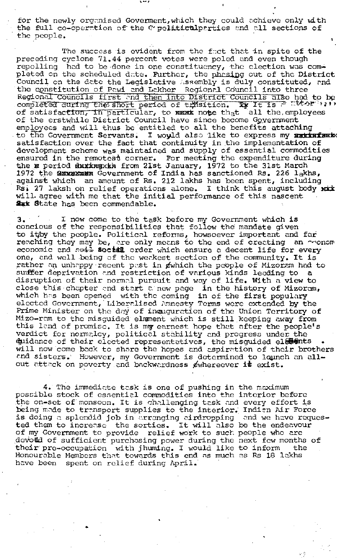for the newly organised Goverment, which they could achieve only with the full co-operation of the  $c$  politiculparties and all sections of the people.

The success is evident from the fact that in spite of the preceding cyclone 71.44 percent votes were poled and even though repolling had to be done in one constituency, the election was completed on the scheduled date. Further, the phrsing out of the District Council on the date the Legislative Assembly is duly constituted, and the constitution of Pawi and Lakher Regional Council into three and constitution of Family Hand then into District Councils also had to be regional councils first and then into district councils also had to b<br>completed during the short period of trasition. Ty It is  $\mathbb{P}^{r\times t}$ of satisfaction, in particular, to **NEXX** note that all the employees of the erstwhile District Council have since become Government employees and will thus be entitled to all the benefits uttaching to the Government Servants. I would also like to express my **satisfami**x satisfaction over the fact that continuity in the implementation of development scheme was maintained and supply of essential commodities ensured in the remotest corner. For meeting the expenditure during ensured in the remotest corner. For meeting the expenditure dur<br>the **x** period <mark>duxxxg</mark>xkk from 21st January, 1972 to the 31st March 1972 the Gavener Government of India has sanctioned Rs. 226 lakhs, against which an amount of Rs. 212 lakhs has been spent, including Rsi 27 laksh on relief operations alone. I think this august body with will. agree with me that the initial performance of this nascent fux State has been commendable.

3. <sup>I</sup> now come to the task before my Government which is concious of the responsibilities that follow the' mandate given to ithy the people. Political reforms, howsoever important and far renching they may be, are only means to the end of creating an oronom economic and  $\frac{1}{2}$  social order which ensure a decent life for every one, and well being of the weakest section of the community. It is rather on unhappy recent past in  $e$ which the people of Mizorem had to suffer deprivation and restriction of various kinds leading to a disruption of their norm $\alpha$ l pursuit and way of life. With a view to close this chapter and start a new page in the history of Mizoram, which has been opened with the coming in of the first populary elected Government, Liberalised Amnesty Terms were extended by the Prime Minister on the day of induguration of the Union Territory of Mizo-ram to the misguided elmment which is still keeping away from this land of promise. It is my earnest hope that after the people's verdict for normalcy, political stability and progress under the duidance of their elected representatives, the misguided elements .<br>Will now come back to share the hopes and aspiration of their brothers and sisters.' However, my Government is determined to lounch an allout attack on poverty and backwardness ewhereever is exist.

4. The immediate task is one of pushing in the maximum possible stock of essential commodities into the interior before possible stock of essential commodities life the interior before being made to transport supplies to the interior. Indian Air Force is doing a splendid job in arranging airdropping and we have requested them to increese the sorties. It will also be the endeavour of my Government to provide relief work to such people who are .devotid of sufficient purchosing power during the next few months of their pre-occupation with jhuming. I would like to inform the Honourable Members that towards this end as much as Rs 18 lakhs have been spent on relief during April.

•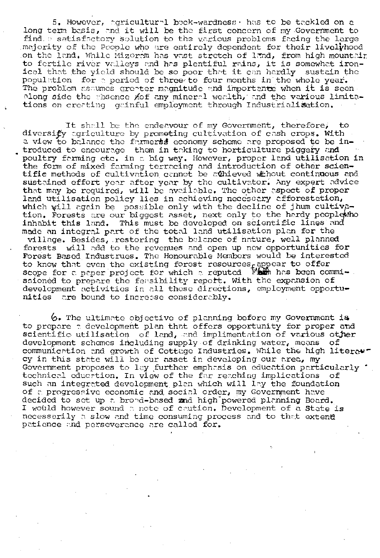5. However, agricultural bock-wardness, has to be tackled on a long term basis, and it will be the first concern of my Government to find a satisfactory solution to the various problems facing the large majority of the People who are entirely dependent for their lively hood on the land. While Mizeram has vast stretch of land, from high mountair<br>to fertile river valleys and has plentiful rains, it is somewhet ironical that the yield should be so poor that it can hardly sustain the population for a period of three to four months in the whole year. The problem assumes greater magnitude and importante when it is seen. plong side the shsonge Aof any mineral wealth, and the various limitations on creating gainful employment through Industrialisation.

It shall be the endeavour of my Government, therefore, to diversify agriculture by prometing cultivation of cash crops. With a view to balance the farmerss economy scheme are proposed to be introduced to encourage them in taking to horticulture piggery and poultry farming etc. in a big way. However, proper land utilisation in the form of mixed farming terracing and introduction of other scientific methods of cultivation cannot be athieved without continuous and sustained effort year after year by the cultivator. Any expert advice that may be required, will be available. The other aspect of proper land utilisation policy lies in achieving necessary afforestation, which will again be possible only with the decline of jhum cultivetion. Forests are our biggest asset, next only to the hardy peoplewho inhabit this land. This must be developed on scientific lines and made an integral part of the total land utilisation plan for the village. Besides, restoring the belance of nature, well planned forests will add to the revenues and open up new opportunities for Forest Based Industrues. The Honourable Members would be interested to know that even the existing forest resources appear to offer scope for a paper project for which a reputed Fight has been commiscioned to prepare the feasibility report. With the expansion of development activities in all these directions, employment opportunities are bound to increase considerably.

6. The ultimate objective of planning before my Government is to prepare a development plan that offers opportunity for proper and scientific utilisation of land, and implimentation of various other development schemes including supply of drinking water, means of. communication and growth of Cottage Industries. While the high literarcy in this state will be our asset in developing our area, my Government proposes to lay further emphasis on education particularly . technical eduction. In view of the far reaching implications of such an integrated development plan which will lay the foundation of a progressive economic and social order, my Government have decided to set up a brond-based and high powered planning Board. I would however sound a note of caution. Development of a State is necessarily a slow and time consuming process and to that extent patience and perseverance are called for.